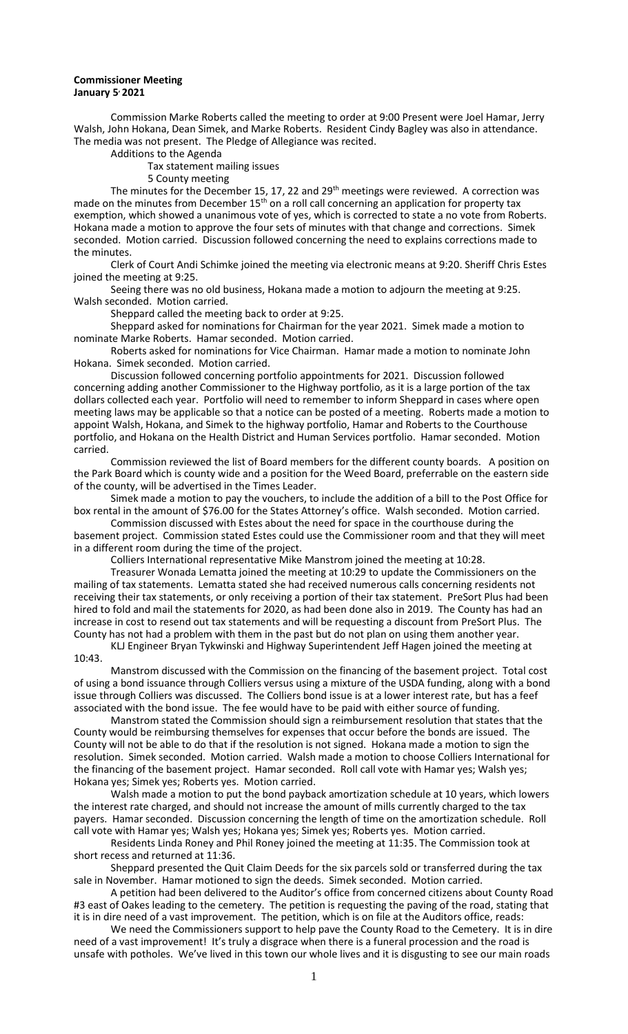## **Commissioner Meeting January 5, 2021**

Commission Marke Roberts called the meeting to order at 9:00 Present were Joel Hamar, Jerry Walsh, John Hokana, Dean Simek, and Marke Roberts. Resident Cindy Bagley was also in attendance. The media was not present. The Pledge of Allegiance was recited.

Additions to the Agenda

Tax statement mailing issues

5 County meeting

The minutes for the December 15, 17, 22 and 29<sup>th</sup> meetings were reviewed. A correction was made on the minutes from December 15<sup>th</sup> on a roll call concerning an application for property tax exemption, which showed a unanimous vote of yes, which is corrected to state a no vote from Roberts. Hokana made a motion to approve the four sets of minutes with that change and corrections. Simek seconded. Motion carried. Discussion followed concerning the need to explains corrections made to the minutes.

Clerk of Court Andi Schimke joined the meeting via electronic means at 9:20. Sheriff Chris Estes joined the meeting at 9:25.

Seeing there was no old business, Hokana made a motion to adjourn the meeting at 9:25. Walsh seconded. Motion carried.

Sheppard called the meeting back to order at 9:25.

Sheppard asked for nominations for Chairman for the year 2021. Simek made a motion to nominate Marke Roberts. Hamar seconded. Motion carried.

Roberts asked for nominations for Vice Chairman. Hamar made a motion to nominate John Hokana. Simek seconded. Motion carried.

Discussion followed concerning portfolio appointments for 2021. Discussion followed concerning adding another Commissioner to the Highway portfolio, as it is a large portion of the tax dollars collected each year. Portfolio will need to remember to inform Sheppard in cases where open meeting laws may be applicable so that a notice can be posted of a meeting. Roberts made a motion to appoint Walsh, Hokana, and Simek to the highway portfolio, Hamar and Roberts to the Courthouse portfolio, and Hokana on the Health District and Human Services portfolio. Hamar seconded. Motion carried.

Commission reviewed the list of Board members for the different county boards. A position on the Park Board which is county wide and a position for the Weed Board, preferrable on the eastern side of the county, will be advertised in the Times Leader.

Simek made a motion to pay the vouchers, to include the addition of a bill to the Post Office for box rental in the amount of \$76.00 for the States Attorney's office. Walsh seconded. Motion carried.

Commission discussed with Estes about the need for space in the courthouse during the basement project. Commission stated Estes could use the Commissioner room and that they will meet in a different room during the time of the project.

Colliers International representative Mike Manstrom joined the meeting at 10:28.

Treasurer Wonada Lematta joined the meeting at 10:29 to update the Commissioners on the mailing of tax statements. Lematta stated she had received numerous calls concerning residents not receiving their tax statements, or only receiving a portion of their tax statement. PreSort Plus had been hired to fold and mail the statements for 2020, as had been done also in 2019. The County has had an increase in cost to resend out tax statements and will be requesting a discount from PreSort Plus. The County has not had a problem with them in the past but do not plan on using them another year. KLJ Engineer Bryan Tykwinski and Highway Superintendent Jeff Hagen joined the meeting at

10:43.

Manstrom discussed with the Commission on the financing of the basement project. Total cost of using a bond issuance through Colliers versus using a mixture of the USDA funding, along with a bond issue through Colliers was discussed. The Colliers bond issue is at a lower interest rate, but has a feef associated with the bond issue. The fee would have to be paid with either source of funding.

Manstrom stated the Commission should sign a reimbursement resolution that states that the County would be reimbursing themselves for expenses that occur before the bonds are issued. The County will not be able to do that if the resolution is not signed. Hokana made a motion to sign the resolution. Simek seconded. Motion carried. Walsh made a motion to choose Colliers International for the financing of the basement project. Hamar seconded. Roll call vote with Hamar yes; Walsh yes; Hokana yes; Simek yes; Roberts yes. Motion carried.

Walsh made a motion to put the bond payback amortization schedule at 10 years, which lowers the interest rate charged, and should not increase the amount of mills currently charged to the tax payers. Hamar seconded. Discussion concerning the length of time on the amortization schedule. Roll call vote with Hamar yes; Walsh yes; Hokana yes; Simek yes; Roberts yes. Motion carried.

Residents Linda Roney and Phil Roney joined the meeting at 11:35. The Commission took at short recess and returned at 11:36.

Sheppard presented the Quit Claim Deeds for the six parcels sold or transferred during the tax sale in November. Hamar motioned to sign the deeds. Simek seconded. Motion carried.

A petition had been delivered to the Auditor's office from concerned citizens about County Road #3 east of Oakes leading to the cemetery. The petition is requesting the paving of the road, stating that it is in dire need of a vast improvement. The petition, which is on file at the Auditors office, reads:

We need the Commissioners support to help pave the County Road to the Cemetery. It is in dire need of a vast improvement! It's truly a disgrace when there is a funeral procession and the road is unsafe with potholes. We've lived in this town our whole lives and it is disgusting to see our main roads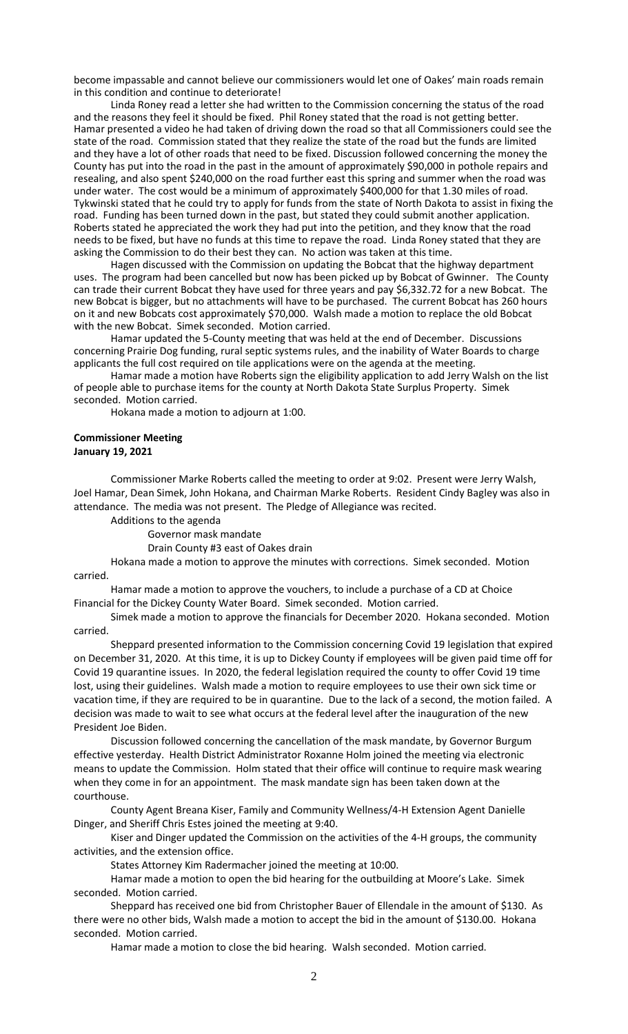become impassable and cannot believe our commissioners would let one of Oakes' main roads remain in this condition and continue to deteriorate!

Linda Roney read a letter she had written to the Commission concerning the status of the road and the reasons they feel it should be fixed. Phil Roney stated that the road is not getting better. Hamar presented a video he had taken of driving down the road so that all Commissioners could see the state of the road. Commission stated that they realize the state of the road but the funds are limited and they have a lot of other roads that need to be fixed. Discussion followed concerning the money the County has put into the road in the past in the amount of approximately \$90,000 in pothole repairs and resealing, and also spent \$240,000 on the road further east this spring and summer when the road was under water. The cost would be a minimum of approximately \$400,000 for that 1.30 miles of road. Tykwinski stated that he could try to apply for funds from the state of North Dakota to assist in fixing the road. Funding has been turned down in the past, but stated they could submit another application. Roberts stated he appreciated the work they had put into the petition, and they know that the road needs to be fixed, but have no funds at this time to repave the road. Linda Roney stated that they are asking the Commission to do their best they can. No action was taken at this time.

Hagen discussed with the Commission on updating the Bobcat that the highway department uses. The program had been cancelled but now has been picked up by Bobcat of Gwinner. The County can trade their current Bobcat they have used for three years and pay \$6,332.72 for a new Bobcat. The new Bobcat is bigger, but no attachments will have to be purchased. The current Bobcat has 260 hours on it and new Bobcats cost approximately \$70,000. Walsh made a motion to replace the old Bobcat with the new Bobcat. Simek seconded. Motion carried.

Hamar updated the 5-County meeting that was held at the end of December. Discussions concerning Prairie Dog funding, rural septic systems rules, and the inability of Water Boards to charge applicants the full cost required on tile applications were on the agenda at the meeting.

Hamar made a motion have Roberts sign the eligibility application to add Jerry Walsh on the list of people able to purchase items for the county at North Dakota State Surplus Property. Simek seconded. Motion carried.

Hokana made a motion to adjourn at 1:00.

## **Commissioner Meeting January 19, 2021**

Commissioner Marke Roberts called the meeting to order at 9:02. Present were Jerry Walsh, Joel Hamar, Dean Simek, John Hokana, and Chairman Marke Roberts. Resident Cindy Bagley was also in attendance. The media was not present. The Pledge of Allegiance was recited.

Additions to the agenda

Governor mask mandate

Drain County #3 east of Oakes drain

Hokana made a motion to approve the minutes with corrections. Simek seconded. Motion carried.

Hamar made a motion to approve the vouchers, to include a purchase of a CD at Choice Financial for the Dickey County Water Board. Simek seconded. Motion carried.

Simek made a motion to approve the financials for December 2020. Hokana seconded. Motion carried.

Sheppard presented information to the Commission concerning Covid 19 legislation that expired on December 31, 2020. At this time, it is up to Dickey County if employees will be given paid time off for Covid 19 quarantine issues. In 2020, the federal legislation required the county to offer Covid 19 time lost, using their guidelines. Walsh made a motion to require employees to use their own sick time or vacation time, if they are required to be in quarantine. Due to the lack of a second, the motion failed. A decision was made to wait to see what occurs at the federal level after the inauguration of the new President Joe Biden.

Discussion followed concerning the cancellation of the mask mandate, by Governor Burgum effective yesterday. Health District Administrator Roxanne Holm joined the meeting via electronic means to update the Commission. Holm stated that their office will continue to require mask wearing when they come in for an appointment. The mask mandate sign has been taken down at the courthouse.

County Agent Breana Kiser, Family and Community Wellness/4-H Extension Agent Danielle Dinger, and Sheriff Chris Estes joined the meeting at 9:40.

Kiser and Dinger updated the Commission on the activities of the 4-H groups, the community activities, and the extension office.

States Attorney Kim Radermacher joined the meeting at 10:00.

Hamar made a motion to open the bid hearing for the outbuilding at Moore's Lake. Simek seconded. Motion carried.

Sheppard has received one bid from Christopher Bauer of Ellendale in the amount of \$130. As there were no other bids, Walsh made a motion to accept the bid in the amount of \$130.00. Hokana seconded. Motion carried.

Hamar made a motion to close the bid hearing. Walsh seconded. Motion carried.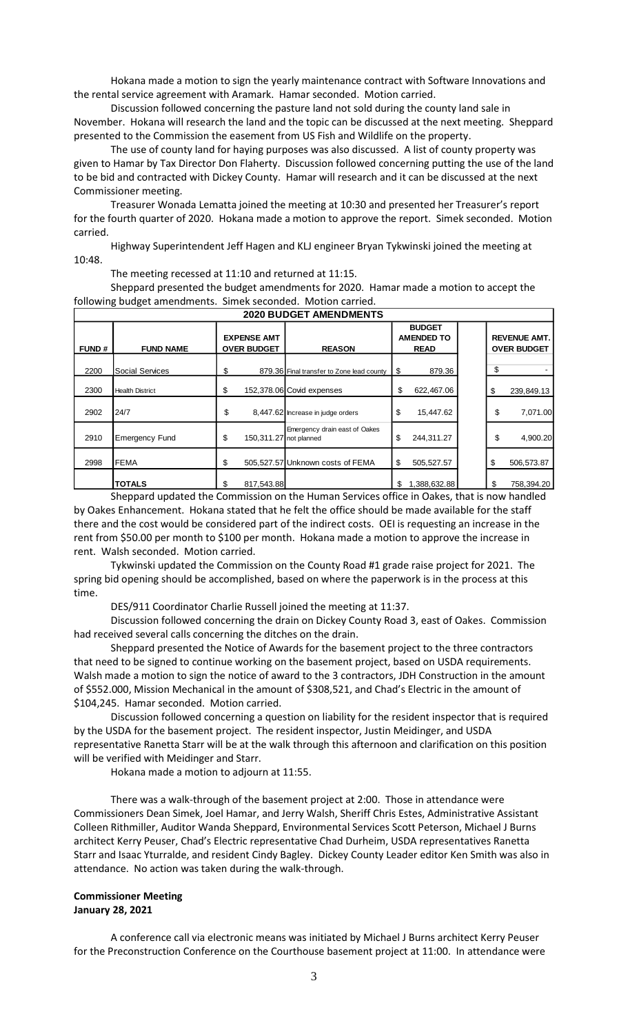Hokana made a motion to sign the yearly maintenance contract with Software Innovations and the rental service agreement with Aramark. Hamar seconded. Motion carried.

Discussion followed concerning the pasture land not sold during the county land sale in November. Hokana will research the land and the topic can be discussed at the next meeting. Sheppard presented to the Commission the easement from US Fish and Wildlife on the property.

The use of county land for haying purposes was also discussed. A list of county property was given to Hamar by Tax Director Don Flaherty. Discussion followed concerning putting the use of the land to be bid and contracted with Dickey County. Hamar will research and it can be discussed at the next Commissioner meeting.

Treasurer Wonada Lematta joined the meeting at 10:30 and presented her Treasurer's report for the fourth quarter of 2020. Hokana made a motion to approve the report. Simek seconded. Motion carried.

Highway Superintendent Jeff Hagen and KLJ engineer Bryan Tykwinski joined the meeting at 10:48.

The meeting recessed at 11:10 and returned at 11:15.

Sheppard presented the budget amendments for 2020. Hamar made a motion to accept the following budget amendments. Simek seconded. Motion carried.

| __________________________ |                        |                                          |                                                          |                                                   |                                           |  |  |  |
|----------------------------|------------------------|------------------------------------------|----------------------------------------------------------|---------------------------------------------------|-------------------------------------------|--|--|--|
| <b>FUND#</b>               | <b>FUND NAME</b>       | <b>EXPENSE AMT</b><br><b>OVER BUDGET</b> | <b>REASON</b>                                            | <b>BUDGET</b><br><b>AMENDED TO</b><br><b>READ</b> | <b>REVENUE AMT.</b><br><b>OVER BUDGET</b> |  |  |  |
| 2200                       | <b>Social Services</b> | \$                                       | 879.36 Final transfer to Zone lead county                | \$<br>879.36                                      | \$                                        |  |  |  |
| 2300                       | <b>Health District</b> | \$                                       | 152,378.06 Covid expenses                                | 622,467.06<br>\$                                  | \$<br>239,849.13                          |  |  |  |
| 2902                       | 24/7                   | \$                                       | 8,447.62 Increase in judge orders                        | \$<br>15,447.62                                   | \$<br>7,071.00                            |  |  |  |
| 2910                       | <b>Emergency Fund</b>  | \$                                       | Emergency drain east of Oakes<br>150, 311.27 not planned | \$<br>244,311.27                                  | \$<br>4,900.20                            |  |  |  |
| 2998                       | <b>FEMA</b>            |                                          | 505,527.57 Unknown costs of FEMA                         | \$<br>505,527.57                                  | \$<br>506,573.87                          |  |  |  |
|                            | <b>TOTALS</b>          | 817,543.88<br>\$.                        |                                                          | \$<br>1,388,632.88                                | 758,394.20<br>\$                          |  |  |  |

**2020 BUDGET AMENDMENTS**

٦

Sheppard updated the Commission on the Human Services office in Oakes, that is now handled by Oakes Enhancement. Hokana stated that he felt the office should be made available for the staff there and the cost would be considered part of the indirect costs. OEI is requesting an increase in the rent from \$50.00 per month to \$100 per month. Hokana made a motion to approve the increase in rent. Walsh seconded. Motion carried.

Tykwinski updated the Commission on the County Road #1 grade raise project for 2021. The spring bid opening should be accomplished, based on where the paperwork is in the process at this time.

DES/911 Coordinator Charlie Russell joined the meeting at 11:37.

Discussion followed concerning the drain on Dickey County Road 3, east of Oakes. Commission had received several calls concerning the ditches on the drain.

Sheppard presented the Notice of Awards for the basement project to the three contractors that need to be signed to continue working on the basement project, based on USDA requirements. Walsh made a motion to sign the notice of award to the 3 contractors, JDH Construction in the amount of \$552.000, Mission Mechanical in the amount of \$308,521, and Chad's Electric in the amount of \$104,245. Hamar seconded. Motion carried.

Discussion followed concerning a question on liability for the resident inspector that is required by the USDA for the basement project. The resident inspector, Justin Meidinger, and USDA representative Ranetta Starr will be at the walk through this afternoon and clarification on this position will be verified with Meidinger and Starr.

Hokana made a motion to adjourn at 11:55.

There was a walk-through of the basement project at 2:00. Those in attendance were Commissioners Dean Simek, Joel Hamar, and Jerry Walsh, Sheriff Chris Estes, Administrative Assistant Colleen Rithmiller, Auditor Wanda Sheppard, Environmental Services Scott Peterson, Michael J Burns architect Kerry Peuser, Chad's Electric representative Chad Durheim, USDA representatives Ranetta Starr and Isaac Yturralde, and resident Cindy Bagley. Dickey County Leader editor Ken Smith was also in attendance. No action was taken during the walk-through.

## **Commissioner Meeting January 28, 2021**

A conference call via electronic means was initiated by Michael J Burns architect Kerry Peuser for the Preconstruction Conference on the Courthouse basement project at 11:00. In attendance were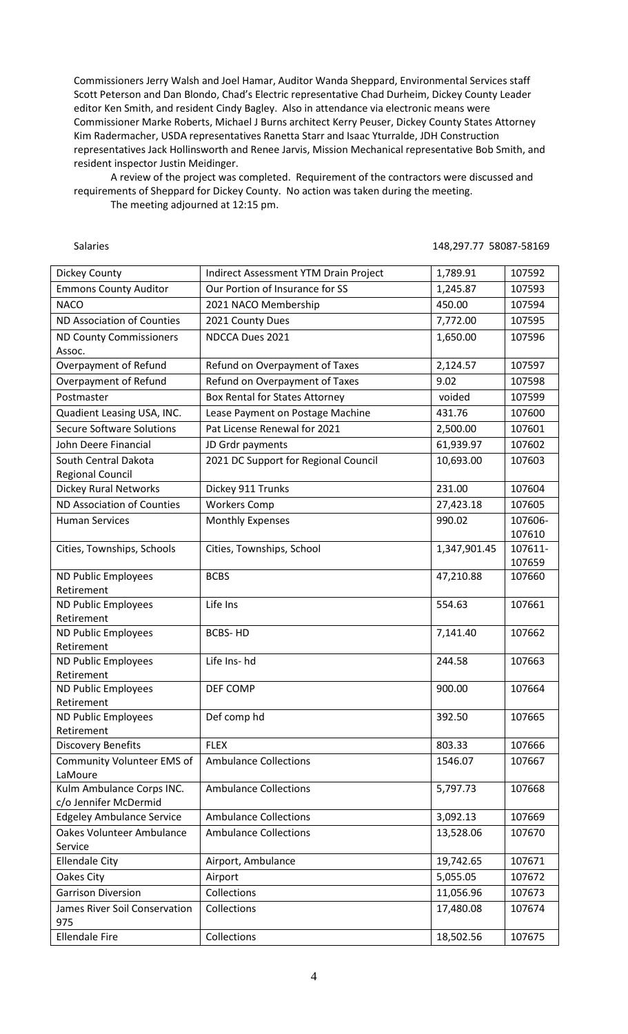Commissioners Jerry Walsh and Joel Hamar, Auditor Wanda Sheppard, Environmental Services staff Scott Peterson and Dan Blondo, Chad's Electric representative Chad Durheim, Dickey County Leader editor Ken Smith, and resident Cindy Bagley. Also in attendance via electronic means were Commissioner Marke Roberts, Michael J Burns architect Kerry Peuser, Dickey County States Attorney Kim Radermacher, USDA representatives Ranetta Starr and Isaac Yturralde, JDH Construction representatives Jack Hollinsworth and Renee Jarvis, Mission Mechanical representative Bob Smith, and resident inspector Justin Meidinger.

A review of the project was completed. Requirement of the contractors were discussed and requirements of Sheppard for Dickey County. No action was taken during the meeting.

The meeting adjourned at 12:15 pm.

Salaries 148,297.77 58087-58169

| Dickey County                     | Indirect Assessment YTM Drain Project | 1,789.91     | 107592  |
|-----------------------------------|---------------------------------------|--------------|---------|
| <b>Emmons County Auditor</b>      | Our Portion of Insurance for SS       | 1,245.87     | 107593  |
| <b>NACO</b>                       | 2021 NACO Membership                  | 450.00       | 107594  |
| ND Association of Counties        | 2021 County Dues                      | 7,772.00     | 107595  |
| <b>ND County Commissioners</b>    | NDCCA Dues 2021                       | 1,650.00     | 107596  |
| Assoc.                            |                                       |              |         |
| Overpayment of Refund             | Refund on Overpayment of Taxes        | 2,124.57     | 107597  |
| Overpayment of Refund             | Refund on Overpayment of Taxes        | 9.02         | 107598  |
| Postmaster                        | <b>Box Rental for States Attorney</b> | voided       | 107599  |
| Quadient Leasing USA, INC.        | Lease Payment on Postage Machine      | 431.76       | 107600  |
| <b>Secure Software Solutions</b>  | Pat License Renewal for 2021          | 2,500.00     | 107601  |
| John Deere Financial              | JD Grdr payments                      | 61,939.97    | 107602  |
| South Central Dakota              | 2021 DC Support for Regional Council  | 10,693.00    | 107603  |
| <b>Regional Council</b>           |                                       |              |         |
| <b>Dickey Rural Networks</b>      | Dickey 911 Trunks                     | 231.00       | 107604  |
| ND Association of Counties        | <b>Workers Comp</b>                   | 27,423.18    | 107605  |
| <b>Human Services</b>             | <b>Monthly Expenses</b>               | 990.02       | 107606- |
|                                   |                                       |              | 107610  |
| Cities, Townships, Schools        | Cities, Townships, School             | 1,347,901.45 | 107611- |
|                                   | <b>BCBS</b>                           |              | 107659  |
| ND Public Employees<br>Retirement |                                       | 47,210.88    | 107660  |
| ND Public Employees               | Life Ins                              | 554.63       | 107661  |
| Retirement                        |                                       |              |         |
| ND Public Employees               | <b>BCBS-HD</b>                        | 7,141.40     | 107662  |
| Retirement                        |                                       |              |         |
| ND Public Employees               | Life Ins- hd                          | 244.58       | 107663  |
| Retirement                        |                                       |              |         |
| ND Public Employees               | DEF COMP                              | 900.00       | 107664  |
| Retirement                        |                                       | 392.50       |         |
| ND Public Employees<br>Retirement | Def comp hd                           |              | 107665  |
| <b>Discovery Benefits</b>         | <b>FLEX</b>                           | 803.33       | 107666  |
| Community Volunteer EMS of        | <b>Ambulance Collections</b>          | 1546.07      | 107667  |
| LaMoure                           |                                       |              |         |
| Kulm Ambulance Corps INC.         | <b>Ambulance Collections</b>          | 5,797.73     | 107668  |
| c/o Jennifer McDermid             |                                       |              |         |
| <b>Edgeley Ambulance Service</b>  | <b>Ambulance Collections</b>          | 3,092.13     | 107669  |
| <b>Oakes Volunteer Ambulance</b>  | <b>Ambulance Collections</b>          | 13,528.06    | 107670  |
| Service                           |                                       |              |         |
| <b>Ellendale City</b>             | Airport, Ambulance                    | 19,742.65    | 107671  |
| Oakes City                        | Airport                               | 5,055.05     | 107672  |
| <b>Garrison Diversion</b>         | Collections                           | 11,056.96    | 107673  |
| James River Soil Conservation     | Collections                           | 17,480.08    | 107674  |
| 975                               |                                       |              |         |
| <b>Ellendale Fire</b>             | Collections                           | 18,502.56    | 107675  |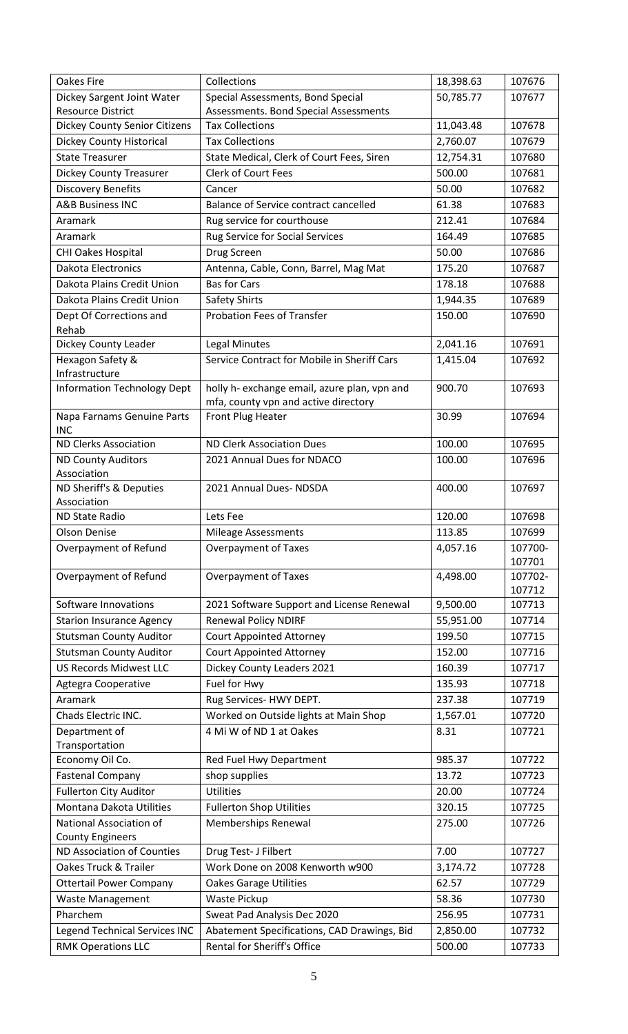| <b>Oakes Fire</b>                        | Collections                                  | 18,398.63 | 107676            |
|------------------------------------------|----------------------------------------------|-----------|-------------------|
| Dickey Sargent Joint Water               | Special Assessments, Bond Special            | 50,785.77 | 107677            |
| <b>Resource District</b>                 | Assessments. Bond Special Assessments        |           |                   |
| <b>Dickey County Senior Citizens</b>     | <b>Tax Collections</b>                       | 11,043.48 | 107678            |
| <b>Dickey County Historical</b>          | <b>Tax Collections</b>                       | 2,760.07  | 107679            |
| <b>State Treasurer</b>                   | State Medical, Clerk of Court Fees, Siren    | 12,754.31 | 107680            |
| <b>Dickey County Treasurer</b>           | Clerk of Court Fees                          | 500.00    | 107681            |
| <b>Discovery Benefits</b>                | Cancer                                       | 50.00     | 107682            |
| <b>A&amp;B Business INC</b>              | <b>Balance of Service contract cancelled</b> | 61.38     | 107683            |
| Aramark                                  | Rug service for courthouse                   | 212.41    | 107684            |
| Aramark                                  | Rug Service for Social Services              | 164.49    | 107685            |
| <b>CHI Oakes Hospital</b>                | Drug Screen                                  | 50.00     | 107686            |
| <b>Dakota Electronics</b>                | Antenna, Cable, Conn, Barrel, Mag Mat        | 175.20    | 107687            |
| Dakota Plains Credit Union               | <b>Bas for Cars</b>                          | 178.18    | 107688            |
| Dakota Plains Credit Union               | Safety Shirts                                | 1,944.35  | 107689            |
| Dept Of Corrections and                  | <b>Probation Fees of Transfer</b>            | 150.00    | 107690            |
| Rehab                                    |                                              |           |                   |
| Dickey County Leader                     | <b>Legal Minutes</b>                         | 2,041.16  | 107691            |
| Hexagon Safety &                         | Service Contract for Mobile in Sheriff Cars  | 1,415.04  | 107692            |
| Infrastructure                           |                                              |           |                   |
| <b>Information Technology Dept</b>       | holly h- exchange email, azure plan, vpn and | 900.70    | 107693            |
|                                          | mfa, county vpn and active directory         |           |                   |
| Napa Farnams Genuine Parts<br><b>INC</b> | Front Plug Heater                            | 30.99     | 107694            |
| <b>ND Clerks Association</b>             | <b>ND Clerk Association Dues</b>             | 100.00    | 107695            |
| <b>ND County Auditors</b>                | 2021 Annual Dues for NDACO                   | 100.00    | 107696            |
| Association                              |                                              |           |                   |
| ND Sheriff's & Deputies                  | 2021 Annual Dues- NDSDA                      | 400.00    | 107697            |
| Association                              |                                              |           |                   |
| ND State Radio                           | Lets Fee                                     | 120.00    | 107698            |
| <b>Olson Denise</b>                      | <b>Mileage Assessments</b>                   | 113.85    | 107699            |
| Overpayment of Refund                    | <b>Overpayment of Taxes</b>                  | 4,057.16  | 107700-           |
| Overpayment of Refund                    | <b>Overpayment of Taxes</b>                  | 4,498.00  | 107701<br>107702- |
|                                          |                                              |           | 107712            |
| Software Innovations                     | 2021 Software Support and License Renewal    | 9,500.00  | 107713            |
| <b>Starion Insurance Agency</b>          | <b>Renewal Policy NDIRF</b>                  | 55,951.00 | 107714            |
| <b>Stutsman County Auditor</b>           | <b>Court Appointed Attorney</b>              | 199.50    | 107715            |
| <b>Stutsman County Auditor</b>           | <b>Court Appointed Attorney</b>              | 152.00    | 107716            |
| <b>US Records Midwest LLC</b>            | Dickey County Leaders 2021                   | 160.39    | 107717            |
| Agtegra Cooperative                      | Fuel for Hwy                                 | 135.93    | 107718            |
| Aramark                                  | Rug Services- HWY DEPT.                      | 237.38    | 107719            |
| Chads Electric INC.                      | Worked on Outside lights at Main Shop        | 1,567.01  | 107720            |
| Department of                            | 4 Mi W of ND 1 at Oakes                      | 8.31      | 107721            |
| Transportation                           |                                              |           |                   |
| Economy Oil Co.                          | Red Fuel Hwy Department                      | 985.37    | 107722            |
| <b>Fastenal Company</b>                  | shop supplies                                | 13.72     | 107723            |
| <b>Fullerton City Auditor</b>            | <b>Utilities</b>                             | 20.00     | 107724            |
| Montana Dakota Utilities                 | <b>Fullerton Shop Utilities</b>              | 320.15    | 107725            |
| National Association of                  | Memberships Renewal                          | 275.00    | 107726            |
| <b>County Engineers</b>                  |                                              |           |                   |
| ND Association of Counties               | Drug Test- J Filbert                         | 7.00      | 107727            |
| Oakes Truck & Trailer                    | Work Done on 2008 Kenworth w900              | 3,174.72  | 107728            |
| <b>Ottertail Power Company</b>           | <b>Oakes Garage Utilities</b>                | 62.57     | 107729            |
| <b>Waste Management</b>                  | Waste Pickup                                 | 58.36     | 107730            |
| Pharchem                                 | Sweat Pad Analysis Dec 2020                  | 256.95    | 107731            |
| <b>Legend Technical Services INC</b>     | Abatement Specifications, CAD Drawings, Bid  | 2,850.00  | 107732            |
| <b>RMK Operations LLC</b>                | Rental for Sheriff's Office                  | 500.00    | 107733            |